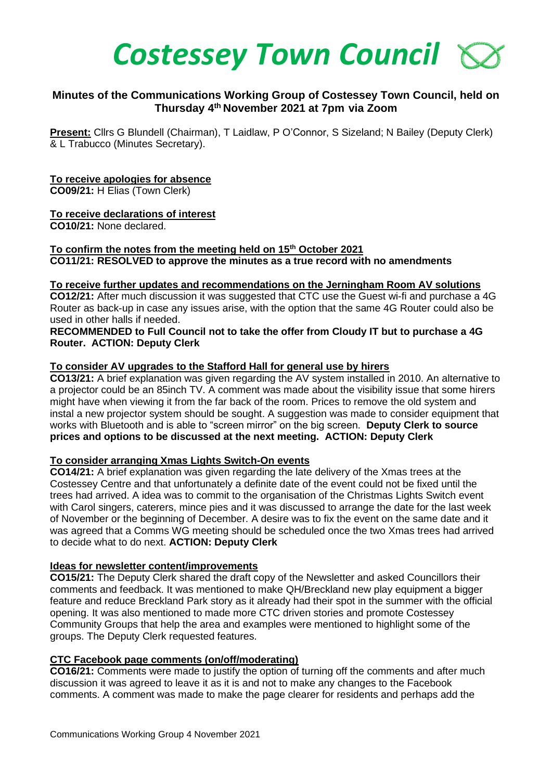

## **Minutes of the Communications Working Group of Costessey Town Council, held on Thursday 4th November 2021 at 7pm via Zoom**

**Present:** Cllrs G Blundell (Chairman), T Laidlaw, P O'Connor, S Sizeland; N Bailey (Deputy Clerk) & L Trabucco (Minutes Secretary).

### **To receive apologies for absence**

**CO09/21:** H Elias (Town Clerk)

# **To receive declarations of interest**

**CO10/21:** None declared.

## **To confirm the notes from the meeting held on 15th October 2021 CO11/21: RESOLVED to approve the minutes as a true record with no amendments**

### **To receive further updates and recommendations on the Jerningham Room AV solutions**

**CO12/21:** After much discussion it was suggested that CTC use the Guest wi-fi and purchase a 4G Router as back-up in case any issues arise, with the option that the same 4G Router could also be used in other halls if needed.

### **RECOMMENDED to Full Council not to take the offer from Cloudy IT but to purchase a 4G Router. ACTION: Deputy Clerk**

### **To consider AV upgrades to the Stafford Hall for general use by hirers**

**CO13/21:** A brief explanation was given regarding the AV system installed in 2010. An alternative to a projector could be an 85inch TV. A comment was made about the visibility issue that some hirers might have when viewing it from the far back of the room. Prices to remove the old system and instal a new projector system should be sought. A suggestion was made to consider equipment that works with Bluetooth and is able to "screen mirror" on the big screen. **Deputy Clerk to source prices and options to be discussed at the next meeting. ACTION: Deputy Clerk** 

### **To consider arranging Xmas Lights Switch-On events**

**CO14/21:** A brief explanation was given regarding the late delivery of the Xmas trees at the Costessey Centre and that unfortunately a definite date of the event could not be fixed until the trees had arrived. A idea was to commit to the organisation of the Christmas Lights Switch event with Carol singers, caterers, mince pies and it was discussed to arrange the date for the last week of November or the beginning of December. A desire was to fix the event on the same date and it was agreed that a Comms WG meeting should be scheduled once the two Xmas trees had arrived to decide what to do next. **ACTION: Deputy Clerk**

#### **Ideas for newsletter content/improvements**

**CO15/21:** The Deputy Clerk shared the draft copy of the Newsletter and asked Councillors their comments and feedback. It was mentioned to make QH/Breckland new play equipment a bigger feature and reduce Breckland Park story as it already had their spot in the summer with the official opening. It was also mentioned to made more CTC driven stories and promote Costessey Community Groups that help the area and examples were mentioned to highlight some of the groups. The Deputy Clerk requested features.

### **CTC Facebook page comments (on/off/moderating)**

**CO16/21:** Comments were made to justify the option of turning off the comments and after much discussion it was agreed to leave it as it is and not to make any changes to the Facebook comments. A comment was made to make the page clearer for residents and perhaps add the